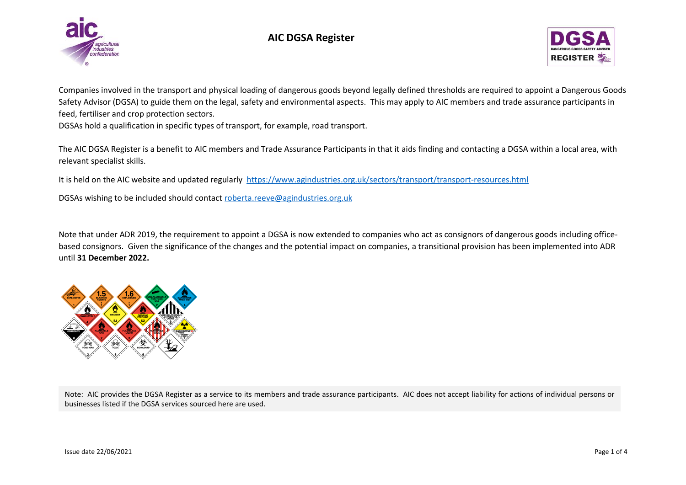

## **AIC DGSA Register**



Companies involved in the transport and physical loading of dangerous goods beyond legally defined thresholds are required to appoint a Dangerous Goods Safety Advisor (DGSA) to guide them on the legal, safety and environmental aspects. This may apply to AIC members and trade assurance participants in feed, fertiliser and crop protection sectors.

DGSAs hold a qualification in specific types of transport, for example, road transport.

The AIC DGSA Register is a benefit to AIC members and Trade Assurance Participants in that it aids finding and contacting a DGSA within a local area, with relevant specialist skills.

It is held on the AIC website and updated regularly<https://www.agindustries.org.uk/sectors/transport/transport-resources.html>

DGSAs wishing to be included should contact [roberta.reeve@agindustries.org.uk](mailto:roberta.reeve@agindustries.org.uk)

Note that under ADR 2019, the requirement to appoint a DGSA is now extended to companies who act as consignors of dangerous goods including officebased consignors. Given the significance of the changes and the potential impact on companies, a transitional provision has been implemented into ADR until **31 December 2022.**



Note: AIC provides the DGSA Register as a service to its members and trade assurance participants. AIC does not accept liability for actions of individual persons or businesses listed if the DGSA services sourced here are used.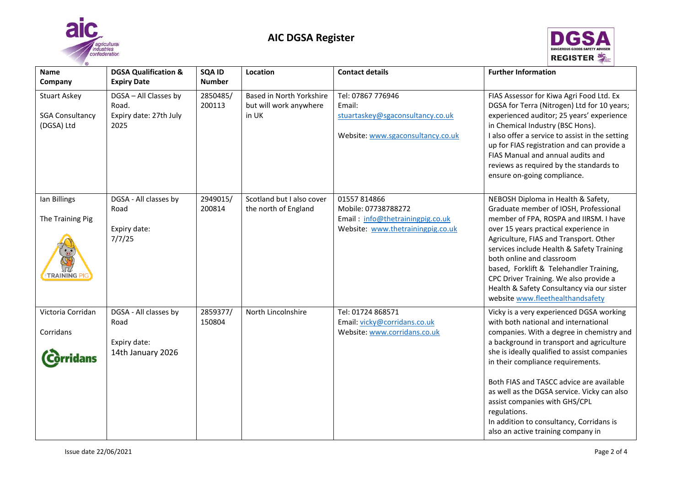



| $\circledcirc$                                              |                                                                    |                         |                                                             |                                                                                                              |                                                                                                                                                                                                                                                                                                                                                                                                                                                                                               |
|-------------------------------------------------------------|--------------------------------------------------------------------|-------------------------|-------------------------------------------------------------|--------------------------------------------------------------------------------------------------------------|-----------------------------------------------------------------------------------------------------------------------------------------------------------------------------------------------------------------------------------------------------------------------------------------------------------------------------------------------------------------------------------------------------------------------------------------------------------------------------------------------|
| <b>Name</b><br>Company                                      | <b>DGSA Qualification &amp;</b><br><b>Expiry Date</b>              | SQA ID<br><b>Number</b> | Location                                                    | <b>Contact details</b>                                                                                       | <b>Further Information</b>                                                                                                                                                                                                                                                                                                                                                                                                                                                                    |
| <b>Stuart Askey</b><br><b>SGA Consultancy</b><br>(DGSA) Ltd | DGSA - All Classes by<br>Road.<br>Expiry date: 27th July<br>2025   | 2850485/<br>200113      | Based in North Yorkshire<br>but will work anywhere<br>in UK | Tel: 07867 776946<br>Email:<br>stuartaskey@sgaconsultancy.co.uk<br>Website: www.sgaconsultancy.co.uk         | FIAS Assessor for Kiwa Agri Food Ltd. Ex<br>DGSA for Terra (Nitrogen) Ltd for 10 years;<br>experienced auditor; 25 years' experience<br>in Chemical Industry (BSC Hons).<br>I also offer a service to assist in the setting<br>up for FIAS registration and can provide a<br>FIAS Manual and annual audits and<br>reviews as required by the standards to<br>ensure on-going compliance.                                                                                                      |
| lan Billings<br>The Training Pig<br><b>TRAINING P</b>       | DGSA - All classes by<br>Road<br>Expiry date:<br>7/7/25            | 2949015/<br>200814      | Scotland but I also cover<br>the north of England           | 01557 814866<br>Mobile: 07738788272<br>Email: info@thetrainingpig.co.uk<br>Website: www.thetrainingpig.co.uk | NEBOSH Diploma in Health & Safety,<br>Graduate member of IOSH, Professional<br>member of FPA, ROSPA and IIRSM. I have<br>over 15 years practical experience in<br>Agriculture, FIAS and Transport. Other<br>services include Health & Safety Training<br>both online and classroom<br>based, Forklift & Telehandler Training,<br>CPC Driver Training. We also provide a<br>Health & Safety Consultancy via our sister<br>website www.fleethealthandsafety                                     |
| Victoria Corridan<br>Corridans<br>ridans                    | DGSA - All classes by<br>Road<br>Expiry date:<br>14th January 2026 | 2859377/<br>150804      | North Lincolnshire                                          | Tel: 01724 868571<br>Email: vicky@corridans.co.uk<br>Website: www.corridans.co.uk                            | Vicky is a very experienced DGSA working<br>with both national and international<br>companies. With a degree in chemistry and<br>a background in transport and agriculture<br>she is ideally qualified to assist companies<br>in their compliance requirements.<br>Both FIAS and TASCC advice are available<br>as well as the DGSA service. Vicky can also<br>assist companies with GHS/CPL<br>regulations.<br>In addition to consultancy, Corridans is<br>also an active training company in |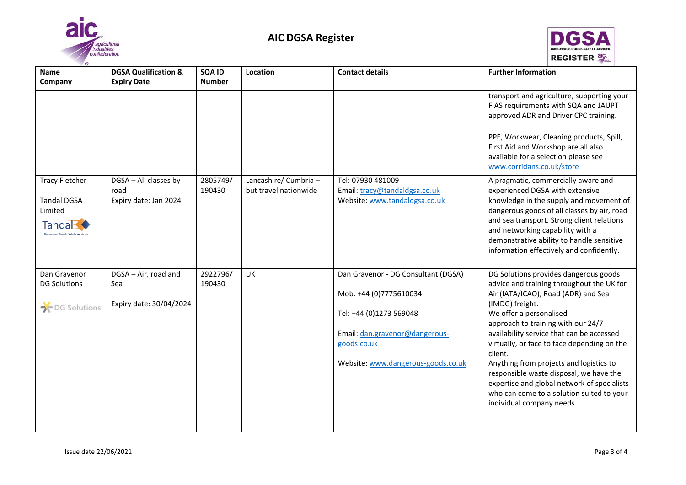



| $\circ$                                                  |                                                       |                         |                       |                                     |                                                                                                                                                      |
|----------------------------------------------------------|-------------------------------------------------------|-------------------------|-----------------------|-------------------------------------|------------------------------------------------------------------------------------------------------------------------------------------------------|
| <b>Name</b><br>Company                                   | <b>DGSA Qualification &amp;</b><br><b>Expiry Date</b> | SQA ID<br><b>Number</b> | Location              | <b>Contact details</b>              | <b>Further Information</b>                                                                                                                           |
|                                                          |                                                       |                         |                       |                                     | transport and agriculture, supporting your<br>FIAS requirements with SQA and JAUPT<br>approved ADR and Driver CPC training.                          |
|                                                          |                                                       |                         |                       |                                     | PPE, Workwear, Cleaning products, Spill,<br>First Aid and Workshop are all also<br>available for a selection please see<br>www.corridans.co.uk/store |
| <b>Tracy Fletcher</b>                                    | DGSA - All classes by                                 | 2805749/                | Lancashire/ Cumbria - | Tel: 07930 481009                   | A pragmatic, commercially aware and                                                                                                                  |
|                                                          | road                                                  | 190430                  | but travel nationwide | Email: tracy@tandaldgsa.co.uk       | experienced DGSA with extensive                                                                                                                      |
| <b>Tandal DGSA</b><br>Limited                            | Expiry date: Jan 2024                                 |                         |                       | Website: www.tandaldgsa.co.uk       | knowledge in the supply and movement of<br>dangerous goods of all classes by air, road                                                               |
| Tanda <b>R</b><br><b>Dangerous Goods Safety Advisers</b> |                                                       |                         |                       |                                     | and sea transport. Strong client relations<br>and networking capability with a                                                                       |
|                                                          |                                                       |                         |                       |                                     | demonstrative ability to handle sensitive<br>information effectively and confidently.                                                                |
| Dan Gravenor<br><b>DG Solutions</b>                      | DGSA - Air, road and<br>Sea                           | 2922796/<br>190430      | UK                    | Dan Gravenor - DG Consultant (DGSA) | DG Solutions provides dangerous goods<br>advice and training throughout the UK for                                                                   |
| DG Solutions                                             | Expiry date: 30/04/2024                               |                         |                       | Mob: +44 (0)7775610034              | Air (IATA/ICAO), Road (ADR) and Sea<br>(IMDG) freight.                                                                                               |
|                                                          |                                                       |                         |                       | Tel: +44 (0)1273 569048             | We offer a personalised<br>approach to training with our 24/7                                                                                        |
|                                                          |                                                       |                         |                       | Email: dan.gravenor@dangerous-      | availability service that can be accessed                                                                                                            |
|                                                          |                                                       |                         |                       | goods.co.uk                         | virtually, or face to face depending on the<br>client.                                                                                               |
|                                                          |                                                       |                         |                       | Website: www.dangerous-goods.co.uk  | Anything from projects and logistics to<br>responsible waste disposal, we have the                                                                   |
|                                                          |                                                       |                         |                       |                                     | expertise and global network of specialists<br>who can come to a solution suited to your                                                             |
|                                                          |                                                       |                         |                       |                                     | individual company needs.                                                                                                                            |